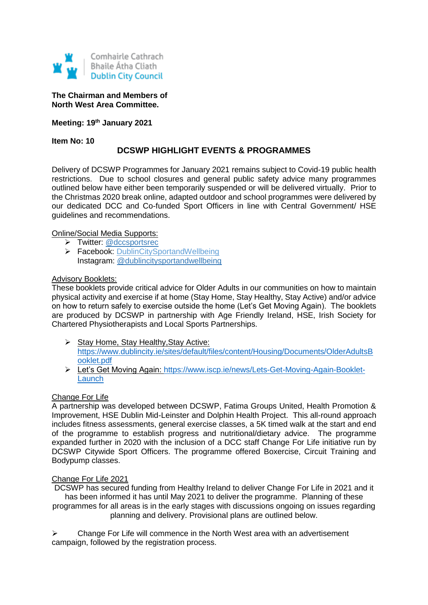

**The Chairman and Members of North West Area Committee.**

**Meeting: 19th January 2021**

**Item No: 10**

# **DCSWP HIGHLIGHT EVENTS & PROGRAMMES**

Delivery of DCSWP Programmes for January 2021 remains subject to Covid-19 public health restrictions. Due to school closures and general public safety advice many programmes outlined below have either been temporarily suspended or will be delivered virtually. Prior to the Christmas 2020 break online, adapted outdoor and school programmes were delivered by our dedicated DCC and Co-funded Sport Officers in line with Central Government/ HSE guidelines and recommendations.

## Online/Social Media Supports:

- > Twitter: [@dccsportsrec](https://twitter.com/dccsportsrec)
- > Facebook: [DublinCitySportandWellbeing](https://www.facebook.com/DublinCitySportandWellbeingPartnership/) Instagram: @dublincitysportandwellbeing

### **Advisory Booklets:**

These booklets provide critical advice for Older Adults in our communities on how to maintain physical activity and exercise if at home (Stay Home, Stay Healthy, Stay Active) and/or advice on how to return safely to exercise outside the home (Let's Get Moving Again). The booklets are produced by DCSWP in partnership with Age Friendly Ireland, HSE, Irish Society for Chartered Physiotherapists and Local Sports Partnerships.

- $\triangleright$  Stay Home, Stay Healthy, Stay Active: [https://www.dublincity.ie/sites/default/files/content/Housing/Documents/OlderAdultsB](https://www.dublincity.ie/sites/default/files/content/Housing/Documents/OlderAdultsBooklet.pdf) [ooklet.pdf](https://www.dublincity.ie/sites/default/files/content/Housing/Documents/OlderAdultsBooklet.pdf)
- Let's Get Moving Again: [https://www.iscp.ie/news/Lets-Get-Moving-Again-Booklet-](https://www.iscp.ie/news/Lets-Get-Moving-Again-Booklet-Launch)[Launch](https://www.iscp.ie/news/Lets-Get-Moving-Again-Booklet-Launch)

## Change For Life

A partnership was developed between DCSWP, Fatima Groups United, Health Promotion & Improvement, HSE Dublin Mid-Leinster and Dolphin Health Project. This all-round approach includes fitness assessments, general exercise classes, a 5K timed walk at the start and end of the programme to establish progress and nutritional/dietary advice. The programme expanded further in 2020 with the inclusion of a DCC staff Change For Life initiative run by DCSWP Citywide Sport Officers. The programme offered Boxercise, Circuit Training and Bodypump classes.

#### Change For Life 2021

DCSWP has secured funding from Healthy Ireland to deliver Change For Life in 2021 and it has been informed it has until May 2021 to deliver the programme. Planning of these programmes for all areas is in the early stages with discussions ongoing on issues regarding planning and delivery. Provisional plans are outlined below.

 $\triangleright$  Change For Life will commence in the North West area with an advertisement campaign, followed by the registration process.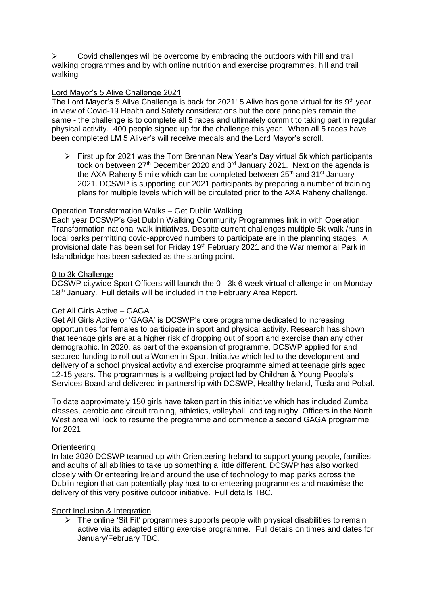$\triangleright$  Covid challenges will be overcome by embracing the outdoors with hill and trail walking programmes and by with online nutrition and exercise programmes, hill and trail walking

## Lord Mayor's 5 Alive Challenge 2021

The Lord Mayor's 5 Alive Challenge is back for 2021! 5 Alive has gone virtual for its  $9<sup>th</sup>$  year in view of Covid-19 Health and Safety considerations but the core principles remain the same - the challenge is to complete all 5 races and ultimately commit to taking part in regular physical activity. 400 people signed up for the challenge this year. When all 5 races have been completed LM 5 Aliver's will receive medals and the Lord Mayor's scroll.

 $\triangleright$  First up for 2021 was the Tom Brennan New Year's Day virtual 5k which participants took on between  $27<sup>th</sup>$  December 2020 and  $3<sup>rd</sup>$  January 2021. Next on the agenda is the AXA Raheny 5 mile which can be completed between  $25<sup>th</sup>$  and  $31<sup>st</sup>$  January 2021. DCSWP is supporting our 2021 participants by preparing a number of training plans for multiple levels which will be circulated prior to the AXA Raheny challenge.

## Operation Transformation Walks – Get Dublin Walking

Each year DCSWP's Get Dublin Walking Community Programmes link in with Operation Transformation national walk initiatives. Despite current challenges multiple 5k walk /runs in local parks permitting covid-approved numbers to participate are in the planning stages. A provisional date has been set for Friday 19<sup>th</sup> February 2021 and the War memorial Park in Islandbridge has been selected as the starting point.

### 0 to 3k Challenge

DCSWP citywide Sport Officers will launch the 0 - 3k 6 week virtual challenge in on Monday 18<sup>th</sup> January. Full details will be included in the February Area Report.

## Get All Girls Active – GAGA

Get All Girls Active or 'GAGA' is DCSWP's core programme dedicated to increasing opportunities for females to participate in sport and physical activity. Research has shown that teenage girls are at a higher risk of dropping out of sport and exercise than any other demographic. In 2020, as part of the expansion of programme, DCSWP applied for and secured funding to roll out a Women in Sport Initiative which led to the development and delivery of a school physical activity and exercise programme aimed at teenage girls aged 12-15 years. The programmes is a wellbeing project led by Children & Young People's Services Board and delivered in partnership with DCSWP, Healthy Ireland, Tusla and Pobal.

To date approximately 150 girls have taken part in this initiative which has included Zumba classes, aerobic and circuit training, athletics, volleyball, and tag rugby. Officers in the North West area will look to resume the programme and commence a second GAGA programme for 2021

#### **Orienteering**

In late 2020 DCSWP teamed up with Orienteering Ireland to support young people, families and adults of all abilities to take up something a little different. DCSWP has also worked closely with Orienteering Ireland around the use of technology to map parks across the Dublin region that can potentially play host to orienteering programmes and maximise the delivery of this very positive outdoor initiative. Full details TBC.

## Sport Inclusion & Integration

 $\triangleright$  The online 'Sit Fit' programmes supports people with physical disabilities to remain active via its adapted sitting exercise programme. Full details on times and dates for January/February TBC.